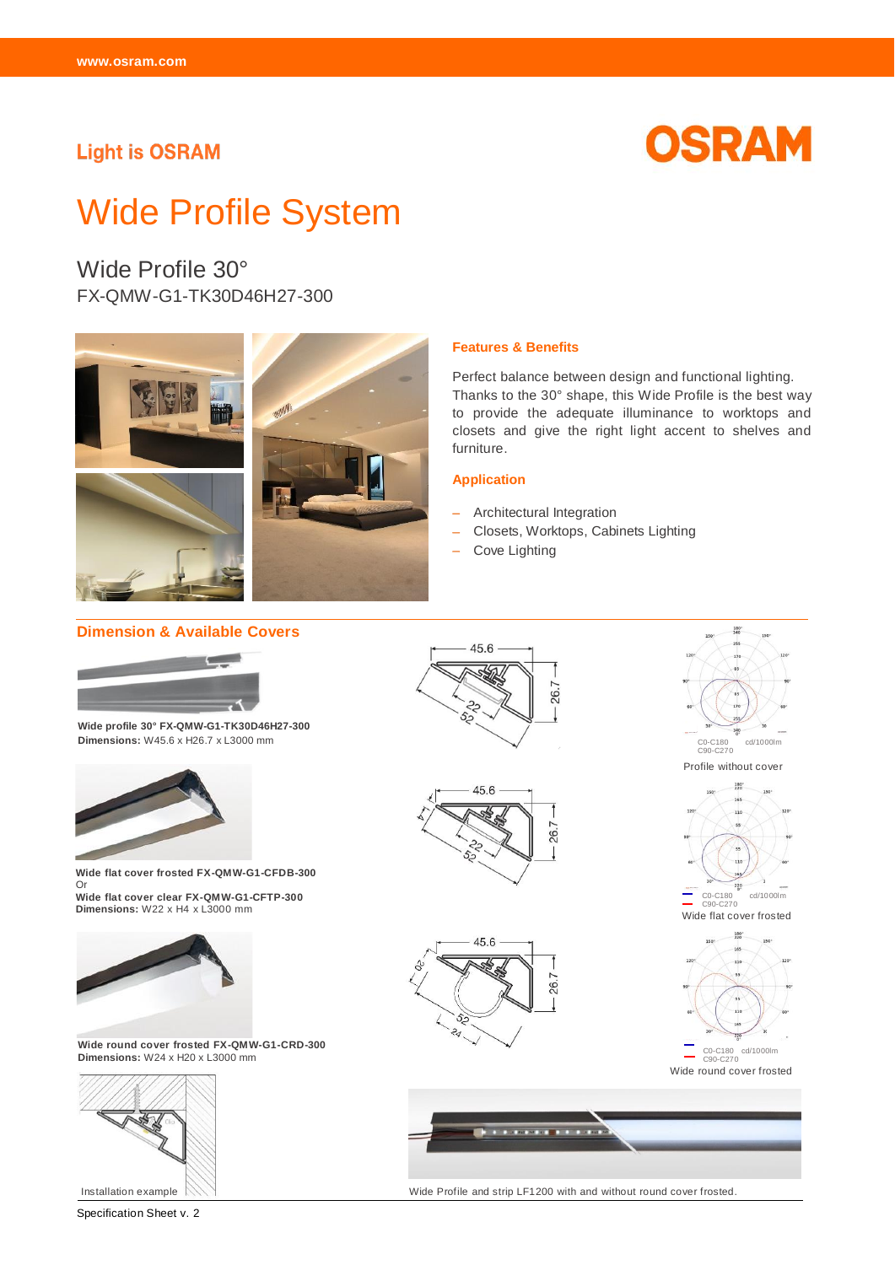### **Light is OSRAM**



# Wide Profile System

Wide Profile 30° FX-QMW-G1-TK30D46H27-300



#### **Features & Benefits**

Perfect balance between design and functional lighting. Thanks to the 30° shape, this Wide Profile is the best way to provide the adequate illuminance to worktops and closets and give the right light accent to shelves and furniture.

#### **Application**

- Architectural Integration
- Closets, Worktops, Cabinets Lighting

Wide Profile and strip LF1200 with and without round cover frosted.

- Cove Lighting

#### **Dimension & Available Covers** 18 45.6 26.7 **Wide profile 30° FX-QMW-G1-TK30D46H27-300 Dimensions:** W45.6 x H26.7 x L3000 mm C0-C180 cd/1000lm C90-C270 Profile without cover  $\frac{180}{220}$ 45.6 26.7 **Wide flat cover frosted FX-QMW-G1-CFDB-300**  Or 220 **Wide flat cover clear FX-QMW-G1-CFTP-300** C0-C180 cd/1000lm  $0 - C270$ **Dimensions:** W22 x H4 x L3000 mm Wide flat cover frosted 45.6 26.7 **Wide round cover frosted FX-QMW-G1-CRD-300**  C0-C180 cd/1000lm C90-C270 **Dimensions:** W24 x H20 x L3000 mm Wide round cover frosted W **COMMENTANT**

Installation example

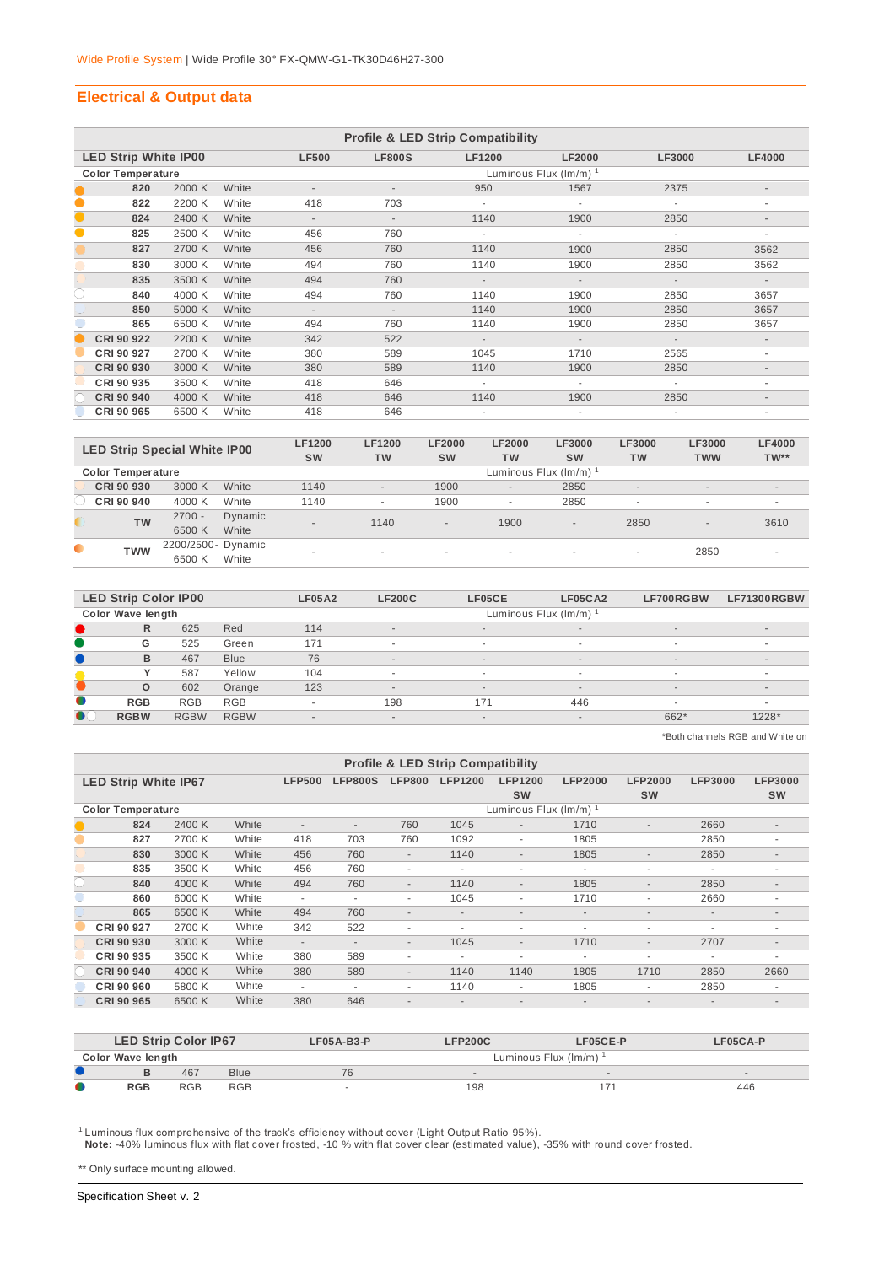#### **Electrical & Output data**

|           |                             |        |       |                          |                          | <b>Profile &amp; LED Strip Compatibility</b> |                             |               |                          |
|-----------|-----------------------------|--------|-------|--------------------------|--------------------------|----------------------------------------------|-----------------------------|---------------|--------------------------|
|           | <b>LED Strip White IP00</b> |        |       | <b>LF500</b>             | <b>LF800S</b>            | <b>LF1200</b>                                | <b>LF2000</b>               | <b>LF3000</b> | <b>LF4000</b>            |
|           | <b>Color Temperature</b>    |        |       |                          |                          |                                              | Luminous Flux $(lm/m)^{-1}$ |               |                          |
|           | 820                         | 2000 K | White |                          |                          | 950                                          | 1567                        | 2375          | $\overline{\phantom{a}}$ |
| $\bullet$ | 822                         | 2200 K | White | 418                      | 703                      |                                              |                             |               | ٠                        |
| $\bullet$ | 824                         | 2400 K | White | $\overline{\phantom{a}}$ | $\overline{\phantom{a}}$ | 1140                                         | 1900                        | 2850          |                          |
| $\bullet$ | 825                         | 2500 K | White | 456                      | 760                      | ٠                                            | $\sim$                      | ٠             | ۰                        |
|           | 827                         | 2700 K | White | 456                      | 760                      | 1140                                         | 1900                        | 2850          | 3562                     |
|           | 830                         | 3000 K | White | 494                      | 760                      | 1140                                         | 1900                        | 2850          | 3562                     |
|           | 835                         | 3500 K | White | 494                      | 760                      | $\sim$                                       | $\sim$                      | $\sim$        | $\sim$                   |
| C         | 840                         | 4000 K | White | 494                      | 760                      | 1140                                         | 1900                        | 2850          | 3657                     |
|           | 850                         | 5000 K | White | $\overline{\phantom{a}}$ | $\overline{\phantom{a}}$ | 1140                                         | 1900                        | 2850          | 3657                     |
|           | 865                         | 6500 K | White | 494                      | 760                      | 1140                                         | 1900                        | 2850          | 3657                     |
|           | CRI 90 922                  | 2200 K | White | 342                      | 522                      | $\sim$                                       | $\sim$                      | $\sim$        | $\sim$                   |
|           | CRI 90 927                  | 2700 K | White | 380                      | 589                      | 1045                                         | 1710                        | 2565          | ٠                        |
|           | CRI 90 930                  | 3000 K | White | 380                      | 589                      | 1140                                         | 1900                        | 2850          | $\overline{\phantom{a}}$ |
|           | CRI 90 935                  | 3500 K | White | 418                      | 646                      | ٠                                            | ٠                           | ٠             | ٠                        |
|           | CRI 90 940                  | 4000 K | White | 418                      | 646                      | 1140                                         | 1900                        | 2850          | $\overline{\phantom{a}}$ |
|           | CRI 90 965                  | 6500 K | White | 418                      | 646                      |                                              |                             |               |                          |

|           | <b>LED Strip Special White IP00</b> |                    |                  | <b>LF1200</b><br><b>SW</b> | <b>LF1200</b><br><b>TW</b> | <b>LF2000</b><br><b>SW</b> | <b>LF2000</b><br><b>TW</b> | <b>LF3000</b><br><b>SW</b> | <b>LF3000</b><br><b>TW</b> | LF3000<br><b>TWW</b>     | <b>LF4000</b><br>$TW**$  |
|-----------|-------------------------------------|--------------------|------------------|----------------------------|----------------------------|----------------------------|----------------------------|----------------------------|----------------------------|--------------------------|--------------------------|
|           | <b>Color Temperature</b>            |                    |                  |                            |                            |                            |                            | Luminous Flux (Im/m)       |                            |                          |                          |
|           | CRI 90 930                          | 3000 K             | White            | 1140                       | $\overline{\phantom{a}}$   | 1900                       | $\sim$                     | 2850                       | $\sim$                     | $\sim$                   | $\sim$                   |
|           | CRI 90 940                          | 4000 K             | White            | 1140                       | ۰                          | 1900                       | ٠                          | 2850                       | $\overline{\phantom{a}}$   | $\overline{\phantom{a}}$ |                          |
|           | <b>TW</b>                           | $2700 -$<br>6500 K | Dynamic<br>White | $\sim$                     | 1140                       | $\sim$                     | 1900                       | $\sim$                     | 2850                       | $\sim$                   | 3610                     |
|           |                                     | 2200/2500- Dynamic |                  |                            |                            |                            |                            |                            |                            |                          |                          |
| $\bullet$ | <b>TWW</b>                          | 6500 K             | White            |                            | $\overline{\phantom{a}}$   | ۰                          |                            | ۰                          | $\sim$                     | 2850                     | $\overline{\phantom{a}}$ |

|           | <b>LED Strip Color IP00</b> |             |             | <b>LF05A2</b>            | <b>LF200C</b>            | LF05CE | LF05CA2                  | LF700RGBW | <b>LF71300RGBW</b>       |
|-----------|-----------------------------|-------------|-------------|--------------------------|--------------------------|--------|--------------------------|-----------|--------------------------|
|           | <b>Color Wave length</b>    |             |             |                          |                          |        | Luminous Flux (Im/m)     |           |                          |
|           | R                           | 625         | Red         | 114                      | $\sim$                   | $\sim$ | $\sim$                   | $\sim$    | $\overline{\phantom{a}}$ |
|           | G                           | 525         | Green       | 171                      | $\overline{\phantom{a}}$ |        | $\sim$                   |           | ۰                        |
|           | B                           | 467         | <b>Blue</b> | 76                       | $\overline{a}$           | $\sim$ | $\sim$                   | $\sim$    | $\overline{\phantom{a}}$ |
|           |                             | 587         | Yellow      | 104                      | $\overline{\phantom{a}}$ |        | $\overline{\phantom{a}}$ |           | ۰                        |
|           | $\circ$                     | 602         | Orange      | 123                      | $\overline{a}$           | $\sim$ | $\overline{\phantom{a}}$ | $\sim$    | $\overline{\phantom{a}}$ |
| $\bullet$ | <b>RGB</b>                  | <b>RGB</b>  | <b>RGB</b>  | ۰                        | 198                      | 171    | 446                      |           | ۰                        |
| $\bullet$ | <b>RGBW</b>                 | <b>RGBW</b> | <b>RGBW</b> | $\overline{\phantom{a}}$ | $\overline{a}$           | $\sim$ | $\sim$                   | 662*      | 1228*                    |
|           |                             |             |             |                          |                          |        |                          |           |                          |

\*Both channels RGB and White on

|                             |        |       |                          |                          |                          | <b>Profile &amp; LED Strip Compatibility</b> |                          |                          |                          |                          |                          |
|-----------------------------|--------|-------|--------------------------|--------------------------|--------------------------|----------------------------------------------|--------------------------|--------------------------|--------------------------|--------------------------|--------------------------|
| <b>LED Strip White IP67</b> |        |       | <b>LFP500</b>            | <b>LFP800S</b>           | <b>LFP800</b>            | <b>LFP1200</b>                               | <b>LFP1200</b>           | <b>LFP2000</b>           | <b>LFP2000</b>           | <b>LFP3000</b>           | <b>LFP3000</b>           |
|                             |        |       |                          |                          |                          |                                              | <b>SW</b>                |                          | <b>SW</b>                |                          | <b>SW</b>                |
| <b>Color Temperature</b>    |        |       |                          |                          |                          |                                              | Luminous Flux (Im/m)     |                          |                          |                          |                          |
| 824                         | 2400 K | White | $\overline{\phantom{a}}$ | $\overline{\phantom{a}}$ | 760                      | 1045                                         | $\overline{\phantom{a}}$ | 1710                     | $\sim$                   | 2660                     | $\overline{\phantom{a}}$ |
| 827                         | 2700 K | White | 418                      | 703                      | 760                      | 1092                                         | ٠                        | 1805                     |                          | 2850                     | ٠                        |
| 830                         | 3000 K | White | 456                      | 760                      | $\overline{\phantom{a}}$ | 1140                                         | $\overline{\phantom{a}}$ | 1805                     | $\sim$                   | 2850                     | ٠                        |
| 835                         | 3500 K | White | 456                      | 760                      | ٠                        | ۰                                            | ٠                        | ٠                        | ٠                        |                          | ٠                        |
| 840                         | 4000 K | White | 494                      | 760                      | $\overline{\phantom{a}}$ | 1140                                         | $\overline{\phantom{a}}$ | 1805                     | ٠                        | 2850                     | ٠                        |
| 860                         | 6000 K | White | $\overline{\phantom{a}}$ | $\blacksquare$           | ٠                        | 1045                                         | ٠                        | 1710                     | ٠                        | 2660                     | ٠                        |
| 865                         | 6500 K | White | 494                      | 760                      | $\overline{\phantom{a}}$ | $\overline{\phantom{a}}$                     | $\overline{a}$           | $\overline{\phantom{a}}$ | ٠                        | $\overline{\phantom{a}}$ | $\sim$                   |
| CRI 90 927                  | 2700 K | White | 342                      | 522                      | ۰                        | ۰                                            | ٠                        | ٠                        | $\overline{\phantom{a}}$ | ٠                        | ۰                        |
| CRI 90 930                  | 3000 K | White | $\overline{\phantom{a}}$ | $\overline{\phantom{a}}$ | $\overline{\phantom{a}}$ | 1045                                         | $\overline{\phantom{a}}$ | 1710                     | ٠                        | 2707                     | ٠                        |
| CRI 90 935                  | 3500 K | White | 380                      | 589                      | ٠                        | ٠                                            | ٠                        | ٠                        | ٠                        |                          | ۰                        |
| <b>CRI 90 940</b>           | 4000 K | White | 380                      | 589                      | $\overline{\phantom{a}}$ | 1140                                         | 1140                     | 1805                     | 1710                     | 2850                     | 2660                     |
| CRI 90 960                  | 5800 K | White | $\overline{\phantom{a}}$ | $\overline{\phantom{a}}$ | ٠                        | 1140                                         | ٠                        | 1805                     | ٠                        | 2850                     | ٠                        |
| <b>CRI 90 965</b>           | 6500 K | White | 380                      | 646                      | $\overline{\phantom{a}}$ |                                              |                          |                          |                          |                          |                          |

|   | <b>LED Strip Color IP67</b> |            |             | $LFO5A-B3-P$ | <b>LFP200C</b> | LF05CE-P             | $LFO5CA-P$ |
|---|-----------------------------|------------|-------------|--------------|----------------|----------------------|------------|
|   | Color Wave length           |            |             |              |                | Luminous Flux (Im/m) |            |
|   |                             | 467        | <b>Blue</b> | 76           |                | $\sim$               |            |
| O | <b>RGB</b>                  | <b>RGB</b> | <b>RGB</b>  |              | 198            |                      | 446        |

<sup>1</sup> Luminous flux comprehensive of the track's efficiency without cover (Light Output Ratio 95%).<br>Note: -40% luminous flux with flat cover frosted, -10 % with flat cover clear (estimated value), -35% with round cover frost

\*\* Only surface mounting allowed.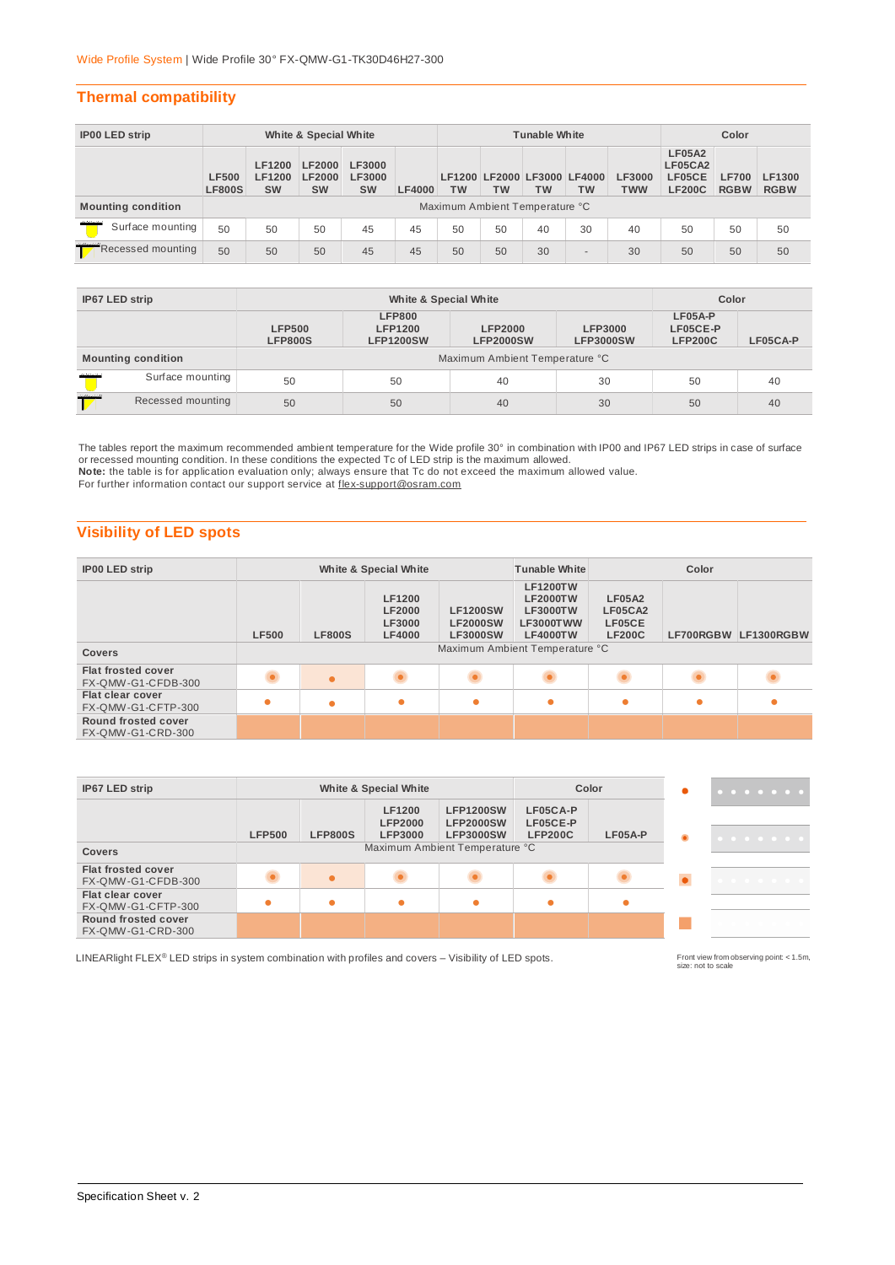#### **Thermal compatibility**

| IP00 LED strip            |                               |                                      | White & Special White                       |                                             |               |    |           | <b>Tunable White</b>                     |           |                             |                                                     | Color                       |                       |
|---------------------------|-------------------------------|--------------------------------------|---------------------------------------------|---------------------------------------------|---------------|----|-----------|------------------------------------------|-----------|-----------------------------|-----------------------------------------------------|-----------------------------|-----------------------|
|                           | <b>LF500</b><br><b>LF800S</b> | LF1200<br><b>LF1200</b><br><b>SW</b> | <b>LF2000</b><br><b>LF2000</b><br><b>SW</b> | <b>LF3000</b><br><b>LF3000</b><br><b>SW</b> | <b>LF4000</b> | тw | <b>TW</b> | LF1200 LF2000 LF3000 LF4000<br><b>TW</b> | <b>TW</b> | <b>LF3000</b><br><b>TWW</b> | <b>LF05A2</b><br>LF05CA2<br>LF05CE<br><b>LF200C</b> | <b>LF700</b><br><b>RGBW</b> | LF1300<br><b>RGBW</b> |
| <b>Mounting condition</b> |                               |                                      |                                             |                                             |               |    |           | Maximum Ambient Temperature °C           |           |                             |                                                     |                             |                       |
| Surface mounting          | 50                            | 50                                   | 50                                          | 45                                          | 45            | 50 | 50        | 40                                       | 30        | 40                          | 50                                                  | 50                          | 50                    |
| Recessed mounting         | 50                            | 50                                   | 50                                          | 45                                          | 45            | 50 | 50        | 30                                       | $\sim$    | 30                          | 50                                                  | 50                          | 50                    |

| IP67 LED strip |                           |                                 | White & Special White                               |                                    |                                    | Color                                   |          |
|----------------|---------------------------|---------------------------------|-----------------------------------------------------|------------------------------------|------------------------------------|-----------------------------------------|----------|
|                |                           | <b>LFP500</b><br><b>LFP800S</b> | <b>LFP800</b><br><b>LFP1200</b><br><b>LFP1200SW</b> | <b>LFP2000</b><br><b>LFP2000SW</b> | <b>LFP3000</b><br><b>LFP3000SW</b> | $LFO5A-P$<br>LF05CE-P<br><b>LFP200C</b> | LF05CA-P |
|                | <b>Mounting condition</b> |                                 |                                                     | Maximum Ambient Temperature °C     |                                    |                                         |          |
| maria          | Surface mounting          | 50                              | 50                                                  | 40                                 | 30                                 | 50                                      | 40       |
| 22000220       | Recessed mounting         | 50                              | 50                                                  | 40                                 | 30                                 | 50                                      | 40       |

The tables report the maximum recommended ambient temperature for the Wide profile 30° in combination with IP00 and IP67 LED strips in case of surface<br>or recessed mounting condition. In these conditions the expected Tc of **Note:** the table is for application evaluation only; always ensure that Tc do not exceed the maximum allowed value.

For further information contact our support service at flex-support@osram.com

## **Visibility of LED spots**

| <b>IP00 LED strip</b>                           |              |               | White & Special White                                     |                                                       | <b>Tunable White</b>                                                                  |                                                     | Color |                      |
|-------------------------------------------------|--------------|---------------|-----------------------------------------------------------|-------------------------------------------------------|---------------------------------------------------------------------------------------|-----------------------------------------------------|-------|----------------------|
|                                                 | <b>LF500</b> | <b>LF800S</b> | LF1200<br><b>LF2000</b><br><b>LF3000</b><br><b>LF4000</b> | <b>LF1200SW</b><br><b>LF2000SW</b><br><b>LF3000SW</b> | <b>LF1200TW</b><br><b>LF2000TW</b><br><b>LF3000TW</b><br>LF3000TWW<br><b>LF4000TW</b> | <b>LF05A2</b><br>LF05CA2<br>LF05CE<br><b>LF200C</b> |       | LF700RGBW LF1300RGBW |
| <b>Covers</b>                                   |              |               |                                                           |                                                       | Maximum Ambient Temperature °C                                                        |                                                     |       |                      |
| <b>Flat frosted cover</b><br>FX-QMW-G1-CFDB-300 |              | $\bullet$     |                                                           |                                                       |                                                                                       |                                                     |       |                      |
| <b>Flat clear cover</b><br>FX-QMW-G1-CFTP-300   | $\bullet$    | ۰             | $\bullet$                                                 | $\bullet$                                             |                                                                                       | $\bullet$                                           |       |                      |
| Round frosted cover<br>FX-QMW-G1-CRD-300        |              |               |                                                           |                                                       |                                                                                       |                                                     |       |                      |

| IP67 LED strip                                  |                                | <b>White &amp; Special White</b><br>Color |                                            |                                                          |                                        |           |           |
|-------------------------------------------------|--------------------------------|-------------------------------------------|--------------------------------------------|----------------------------------------------------------|----------------------------------------|-----------|-----------|
|                                                 | <b>LFP500</b>                  | <b>LFP800S</b>                            | LF1200<br><b>LFP2000</b><br><b>LFP3000</b> | <b>LFP1200SW</b><br><b>LFP2000SW</b><br><b>LFP3000SW</b> | LF05CA-P<br>LF05CE-P<br><b>LFP200C</b> | $LFO5A-P$ | $\bullet$ |
| Covers                                          | Maximum Ambient Temperature °C |                                           |                                            |                                                          |                                        |           |           |
| <b>Flat frosted cover</b><br>FX-QMW-G1-CFDB-300 |                                |                                           |                                            |                                                          |                                        |           |           |
| Flat clear cover<br>FX-QMW-G1-CFTP-300          |                                |                                           |                                            | $\bullet$                                                |                                        | ●         |           |
| Round frosted cover<br>FX-QMW-G1-CRD-300        |                                |                                           |                                            |                                                          |                                        |           |           |

LINEARlight FLEX® LED strips in system combination with profiles and covers – Visibility of LED spots.

Front view from observing point: < 1.5m,<br>size: not to scale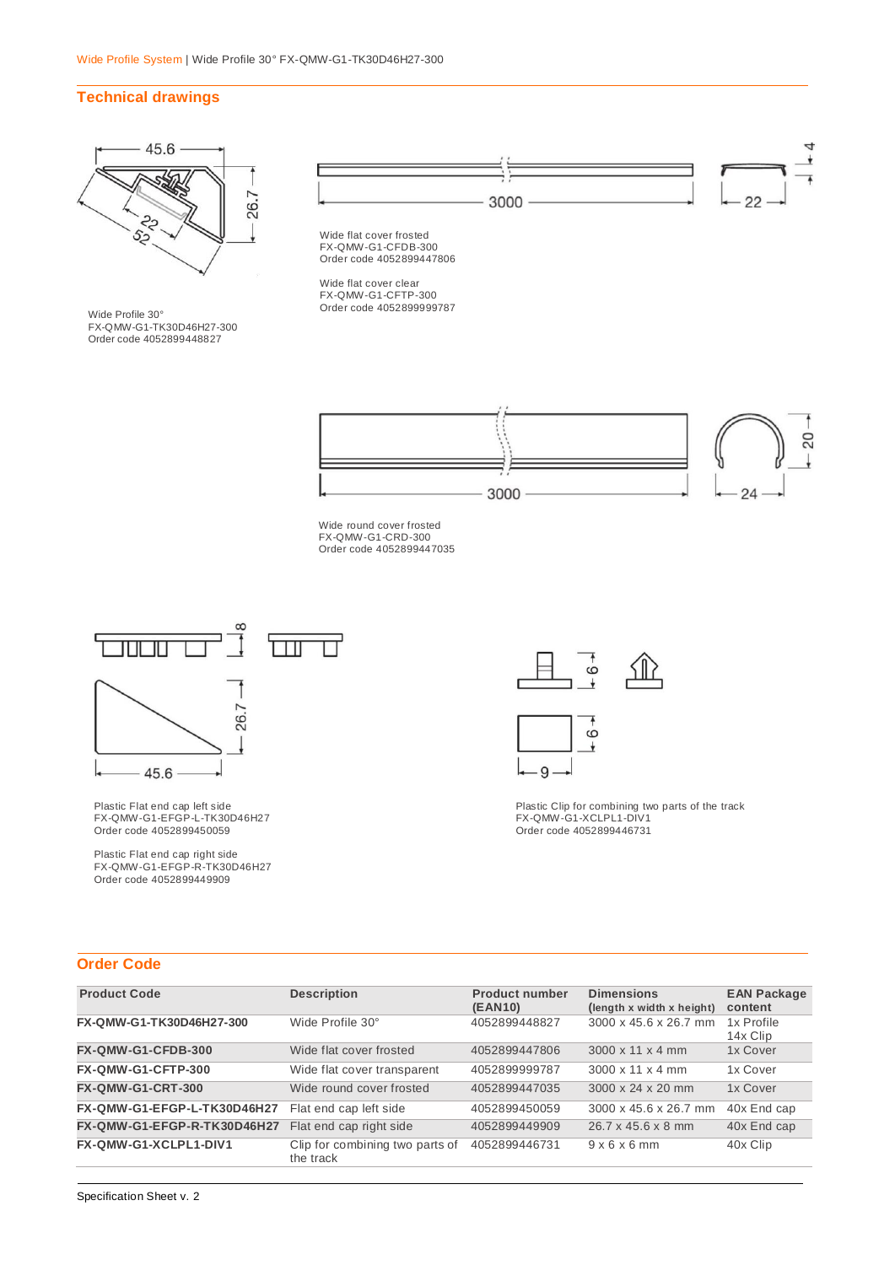#### **Technical drawings**